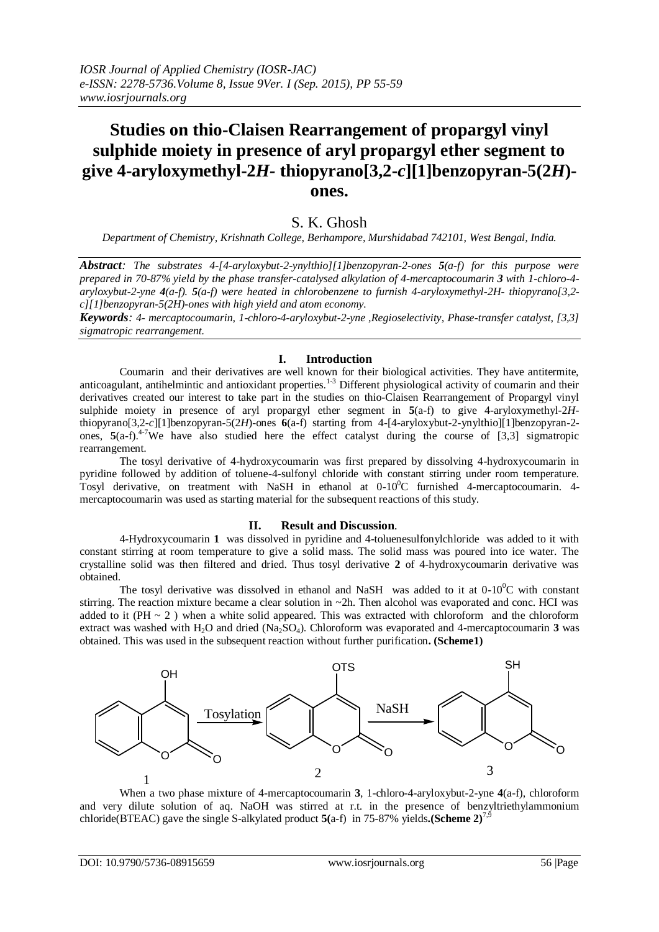# **Studies on thio-Claisen Rearrangement of propargyl vinyl sulphide moiety in presence of aryl propargyl ether segment to give 4-aryloxymethyl-2***H-* **thiopyrano[3,2-***c***][1]benzopyran-5(2***H***) ones.**

# S. K. Ghosh

*Department of Chemistry, Krishnath College, Berhampore, Murshidabad 742101, West Bengal, India.*

*Abstract: The substrates 4-[4-aryloxybut-2-ynylthio][1]benzopyran-2-ones 5(a-f) for this purpose were prepared in 70-87% yield by the phase transfer-catalysed alkylation of 4-mercaptocoumarin 3 with 1-chloro-4 aryloxybut-2-yne 4(a-f). 5(a-f) were heated in chlorobenzene to furnish 4-aryloxymethyl-2H- thiopyrano[3,2 c][1]benzopyran-5(2H)-ones with high yield and atom economy.* 

*Keywords: 4- mercaptocoumarin, 1-chloro-4-aryloxybut-2-yne ,Regioselectivity, Phase-transfer catalyst, [3,3] sigmatropic rearrangement.*

### **I. Introduction**

Coumarin and their derivatives are well known for their biological activities. They have antitermite, anticoagulant, antihelmintic and antioxidant properties.<sup>1-3</sup> Different physiological activity of coumarin and their derivatives created our interest to take part in the studies on thio-Claisen Rearrangement of Propargyl vinyl sulphide moiety in presence of aryl propargyl ether segment in **5**(a-f) to give 4-aryloxymethyl-2*H*thiopyrano[3,2-*c*][1]benzopyran-5(2*H*)-ones **6**(a-f) starting from 4-[4-aryloxybut-2-ynylthio][1]benzopyran-2 ones,  $5(a-f)^{4-7}$ We have also studied here the effect catalyst during the course of [3,3] sigmatropic rearrangement.

The tosyl derivative of 4-hydroxycoumarin was first prepared by dissolving 4-hydroxycoumarin in pyridine followed by addition of toluene-4-sulfonyl chloride with constant stirring under room temperature. Tosyl derivative, on treatment with NaSH in ethanol at  $0-10^{0}C$  furnished 4-mercaptocoumarin. 4mercaptocoumarin was used as starting material for the subsequent reactions of this study.

### **II. Result and Discussion**.

4-Hydroxycoumarin **1** was dissolved in pyridine and 4-toluenesulfonylchloride was added to it with constant stirring at room temperature to give a solid mass. The solid mass was poured into ice water. The crystalline solid was then filtered and dried. Thus tosyl derivative **2** of 4-hydroxycoumarin derivative was obtained.

The tosyl derivative was dissolved in ethanol and NaSH was added to it at  $0-10^{\circ}$ C with constant stirring. The reaction mixture became a clear solution in  $\sim$ 2h. Then alcohol was evaporated and conc. HCI was added to it (PH  $\sim$  2) when a white solid appeared. This was extracted with chloroform and the chloroform extract was washed with H<sub>2</sub>O and dried (Na<sub>2</sub>SO<sub>4</sub>). Chloroform was evaporated and 4-mercaptocoumarin 3 was obtained. This was used in the subsequent reaction without further purification**. (Scheme1)**



When a two phase mixture of 4-mercaptocoumarin **3**, 1-chloro-4-aryloxybut-2-yne **4**(a-f), chloroform and very dilute solution of aq. NaOH was stirred at r.t. in the presence of benzyltriethylammonium chloride(BTEAC) gave the single S-alkylated product **5(**a-f) in 75-87% yields**.(Scheme 2)**7,9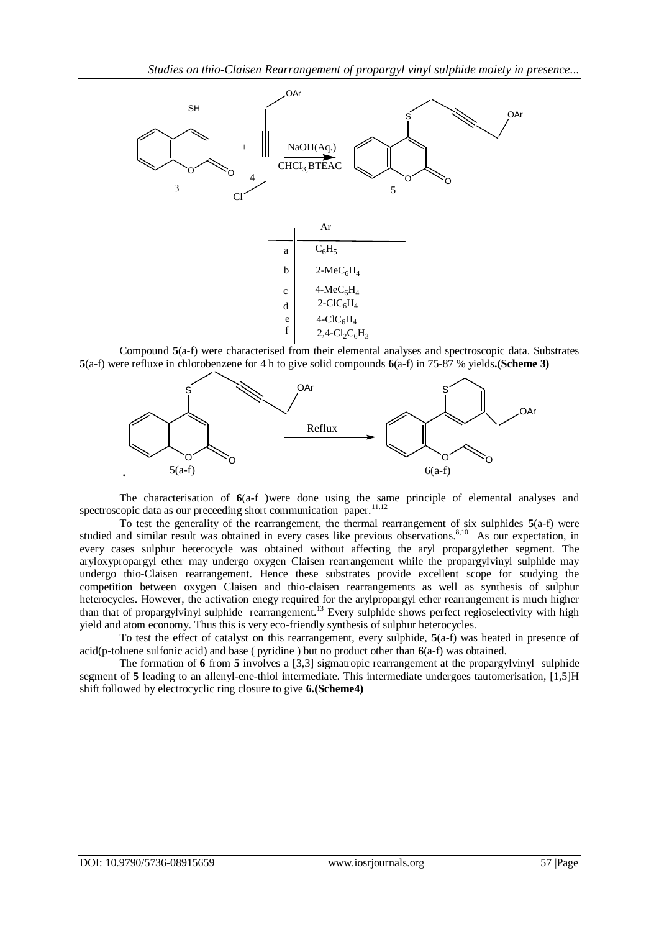

Compound **5**(a-f) were characterised from their elemental analyses and spectroscopic data. Substrates **5**(a-f) were refluxe in chlorobenzene for 4 h to give solid compounds **6**(a-f) in 75-87 % yields**.(Scheme 3)**



The characterisation of **6**(a-f )were done using the same principle of elemental analyses and spectroscopic data as our preceeding short communication paper.<sup>11,12</sup>

To test the generality of the rearrangement, the thermal rearrangement of six sulphides **5**(a-f) were studied and similar result was obtained in every cases like previous observations.<sup>8,10</sup> As our expectation, in every cases sulphur heterocycle was obtained without affecting the aryl propargylether segment. The aryloxypropargyl ether may undergo oxygen Claisen rearrangement while the propargylvinyl sulphide may undergo thio-Claisen rearrangement. Hence these substrates provide excellent scope for studying the competition between oxygen Claisen and thio-claisen rearrangements as well as synthesis of sulphur heterocycles. However, the activation enegy required for the arylpropargyl ether rearrangement is much higher than that of propargylvinyl sulphide rearrangement.<sup>13</sup> Every sulphide shows perfect regioselectivity with high yield and atom economy. Thus this is very eco-friendly synthesis of sulphur heterocycles.

To test the effect of catalyst on this rearrangement, every sulphide, **5**(a-f) was heated in presence of acid(p-toluene sulfonic acid) and base ( pyridine ) but no product other than **6**(a-f) was obtained.

The formation of **6** from **5** involves a [3,3] sigmatropic rearrangement at the propargylvinyl sulphide segment of 5 leading to an allenyl-ene-thiol intermediate. This intermediate undergoes tautomerisation, [1,5]H shift followed by electrocyclic ring closure to give **6.(Scheme4)**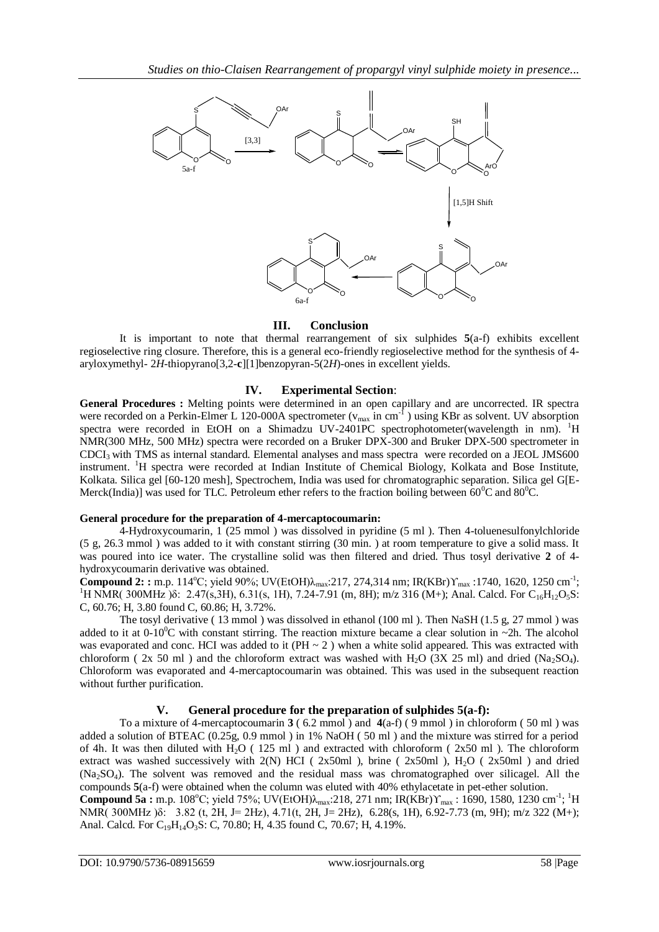

### **III. Conclusion**

It is important to note that thermal rearrangement of six sulphides **5**(a-f) exhibits excellent regioselective ring closure. Therefore, this is a general eco-friendly regioselective method for the synthesis of 4 aryloxymethyl- 2*H*-thiopyrano[3,2-**c**][1]benzopyran-5(2*H*)-ones in excellent yields.

## **IV. Experimental Section**:

**General Procedures :** Melting points were determined in an open capillary and are uncorrected. IR spectra were recorded on a Perkin-Elmer L 120-000A spectrometer ( $v_{max}$  in cm<sup>-1</sup>) using KBr as solvent. UV absorption spectra were recorded in EtOH on a Shimadzu UV-2401PC spectrophotometer(wavelength in nm). <sup>1</sup>H NMR(300 MHz, 500 MHz) spectra were recorded on a Bruker DPX-300 and Bruker DPX-500 spectrometer in CDCI3 with TMS as internal standard. Elemental analyses and mass spectra were recorded on a JEOL JMS600 instrument. <sup>1</sup>H spectra were recorded at Indian Institute of Chemical Biology, Kolkata and Bose Institute, Kolkata. Silica gel [60-120 mesh], Spectrochem, India was used for chromatographic separation. Silica gel G[E-Merck(India)] was used for TLC. Petroleum ether refers to the fraction boiling between  $60^{\circ}$ C and  $80^{\circ}$ C.

### **General procedure for the preparation of 4-mercaptocoumarin:**

4-Hydroxycoumarin, 1 (25 mmol ) was dissolved in pyridine (5 ml ). Then 4-toluenesulfonylchloride (5 g, 26.3 mmol ) was added to it with constant stirring (30 min. ) at room temperature to give a solid mass. It was poured into ice water. The crystalline solid was then filtered and dried. Thus tosyl derivative **2** of 4 hydroxycoumarin derivative was obtained.

**Compound 2: :** m.p. 114°C; yield 90%; UV(EtOH)λ<sub>max</sub>:217, 274,314 nm; IR(KBr)Υ<sub>max</sub> :1740, 1620, 1250 cm<sup>-1</sup>; <sup>1</sup>H NMR( 300MHz )δ: 2.47(s,3H), 6.31(s, 1H), 7.24-7.91 (m, 8H); m/z 316 (M+); Anal. Calcd. For C<sub>16</sub>H<sub>12</sub>O<sub>5</sub>S: C, 60.76; H, 3.80 found C, 60.86; H, 3.72%.

The tosyl derivative ( 13 mmol ) was dissolved in ethanol (100 ml ). Then NaSH (1.5 g, 27 mmol ) was added to it at  $0-10^{\circ}$ C with constant stirring. The reaction mixture became a clear solution in ~2h. The alcohol was evaporated and conc. HCI was added to it (PH  $\sim$  2) when a white solid appeared. This was extracted with chloroform (  $2x$  50 ml) and the chloroform extract was washed with H<sub>2</sub>O ( $3X$  25 ml) and dried (Na<sub>2</sub>SO<sub>4</sub>). Chloroform was evaporated and 4-mercaptocoumarin was obtained. This was used in the subsequent reaction without further purification.

## **V. General procedure for the preparation of sulphides 5(a-f):**

To a mixture of 4-mercaptocoumarin **3** ( 6.2 mmol ) and **4**(a-f) ( 9 mmol ) in chloroform ( 50 ml ) was added a solution of BTEAC (0.25g, 0.9 mmol ) in 1% NaOH ( 50 ml ) and the mixture was stirred for a period of 4h. It was then diluted with H<sub>2</sub>O ( $125$  ml) and extracted with chloroform ( $2x50$  ml). The chloroform extract was washed successively with  $2(N)$  HCI ( $2x50ml$ ), brine ( $2x50ml$ ), H<sub>2</sub>O ( $2x50ml$ ) and dried (Na2SO4). The solvent was removed and the residual mass was chromatographed over silicagel. All the compounds **5**(a-f) were obtained when the column was eluted with 40% ethylacetate in pet-ether solution.

**Compound 5a :** m.p. 108°C; yield 75%; UV(EtOH) $\lambda_{\text{max}}$ :218, 271 nm; IR(KBr) $\Upsilon_{\text{max}}$ : 1690, 1580, 1230 cm<sup>-1</sup>; <sup>1</sup>H NMR( 300MHz )δ: 3.82 (t, 2H, J= 2Hz), 4.71(t, 2H, J= 2Hz), 6.28(s, 1H), 6.92-7.73 (m, 9H); m/z 322 (M+); Anal. Calcd. For  $C_{19}H_{14}O_3S$ : C, 70.80; H, 4.35 found C, 70.67; H, 4.19%.